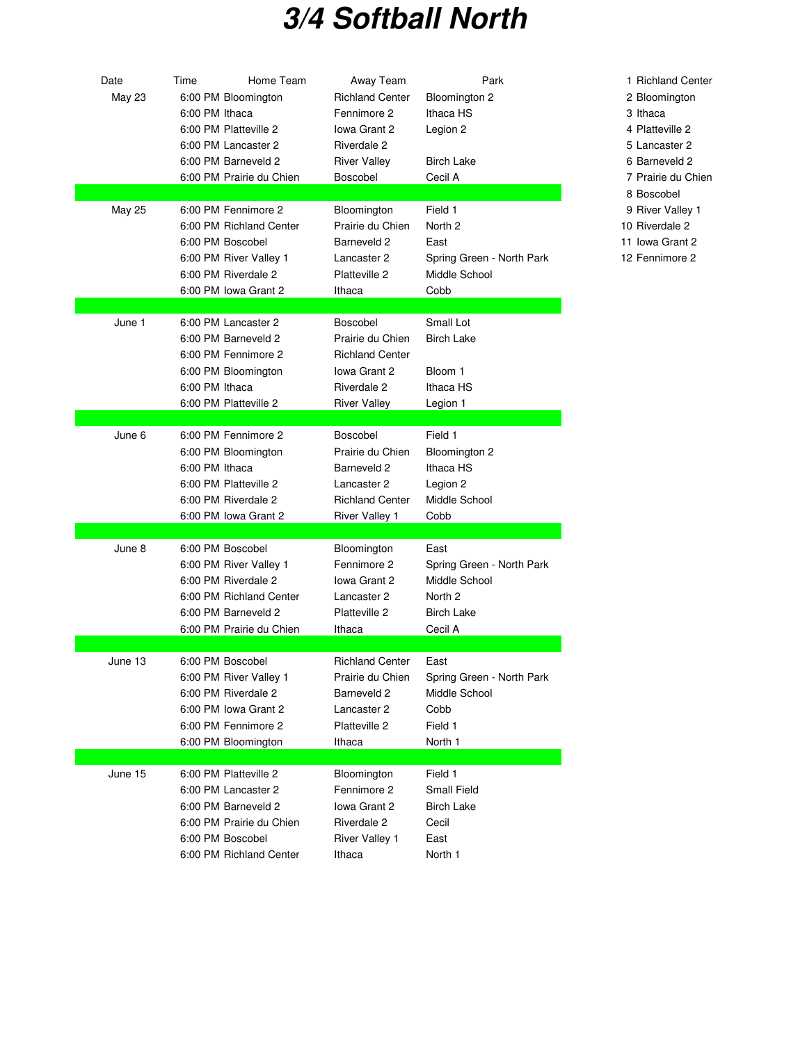## **3/4 Softball North**

| Date<br>May 23 | Time<br>6:00 PM Ithaca | Home Team<br>6:00 PM Bloomington<br>6:00 PM Platteville 2<br>6:00 PM Lancaster 2<br>6:00 PM Barneveld 2<br>6:00 PM Prairie du Chien             | Away Team<br><b>Richland Center</b><br>Fennimore 2<br>Iowa Grant 2<br>Riverdale 2<br><b>River Valley</b><br>Boscobel | Park<br>Bloomington 2<br>Ithaca HS<br>Legion 2<br><b>Birch Lake</b><br>Cecil A                | 1 Richla<br>2 Bloom<br>3 Ithaca<br>4 Platte<br>5 Lanca<br>6 Barne<br>7 Prairie |
|----------------|------------------------|-------------------------------------------------------------------------------------------------------------------------------------------------|----------------------------------------------------------------------------------------------------------------------|-----------------------------------------------------------------------------------------------|--------------------------------------------------------------------------------|
| <b>May 25</b>  |                        | 6:00 PM Fennimore 2<br>6:00 PM Richland Center<br>6:00 PM Boscobel<br>6:00 PM River Valley 1<br>6:00 PM Riverdale 2<br>6:00 PM Iowa Grant 2     | Bloomington<br>Prairie du Chien<br>Barneveld 2<br>Lancaster 2<br>Platteville 2<br>Ithaca                             | Field 1<br>North 2<br>East<br>Spring Green - North Park<br>Middle School<br>Cobb              | 8 Bosco<br>9 River<br>10 Rivero<br>11 Iowa (<br>12 Fenni                       |
| June 1         | 6:00 PM Ithaca         | 6:00 PM Lancaster 2<br>6:00 PM Barneveld 2<br>6:00 PM Fennimore 2<br>6:00 PM Bloomington<br>6:00 PM Platteville 2                               | Boscobel<br>Prairie du Chien<br><b>Richland Center</b><br>Iowa Grant 2<br>Riverdale 2<br><b>River Valley</b>         | Small Lot<br><b>Birch Lake</b><br>Bloom 1<br>Ithaca HS<br>Legion 1                            |                                                                                |
| June 6         | 6:00 PM Ithaca         | 6:00 PM Fennimore 2<br>6:00 PM Bloomington<br>6:00 PM Platteville 2<br>6:00 PM Riverdale 2<br>6:00 PM Iowa Grant 2                              | Boscobel<br>Prairie du Chien<br>Barneveld 2<br>Lancaster 2<br><b>Richland Center</b><br><b>River Valley 1</b>        | Field 1<br>Bloomington 2<br>Ithaca HS<br>Legion 2<br>Middle School<br>Cobb                    |                                                                                |
| June 8         |                        | 6:00 PM Boscobel<br>6:00 PM River Valley 1<br>6:00 PM Riverdale 2<br>6:00 PM Richland Center<br>6:00 PM Barneveld 2<br>6:00 PM Prairie du Chien | Bloomington<br>Fennimore 2<br>Iowa Grant 2<br>Lancaster 2<br>Platteville 2<br>Ithaca                                 | East<br>Spring Green - North Park<br>Middle School<br>North 2<br><b>Birch Lake</b><br>Cecil A |                                                                                |
| June 13        |                        | 6:00 PM Boscobel<br>6:00 PM River Valley 1<br>6:00 PM Riverdale 2<br>6:00 PM Iowa Grant 2<br>6:00 PM Fennimore 2<br>6:00 PM Bloomington         | <b>Richland Center</b><br>Prairie du Chien<br>Barneveld 2<br>Lancaster 2<br>Platteville 2<br>Ithaca                  | East<br>Spring Green - North Park<br>Middle School<br>Cobb<br>Field 1<br>North 1              |                                                                                |
| June 15        |                        | 6:00 PM Platteville 2<br>6:00 PM Lancaster 2<br>6:00 PM Barneveld 2<br>6:00 PM Prairie du Chien<br>6:00 PM Boscobel<br>6:00 PM Richland Center  | Bloomington<br>Fennimore 2<br>Iowa Grant 2<br>Riverdale 2<br><b>River Valley 1</b><br>Ithaca                         | Field 1<br>Small Field<br>Birch Lake<br>Cecil<br>East<br>North 1                              |                                                                                |

1 Richland Center 2 Bloomington 4 Platteville 2 5 Lancaster 2 6 Barneveld 2 7 Prairie du Chien 8 Boscobel 9 River Valley 1 10 Riverdale 2 11 Iowa Grant 2 12 Fennimore 2